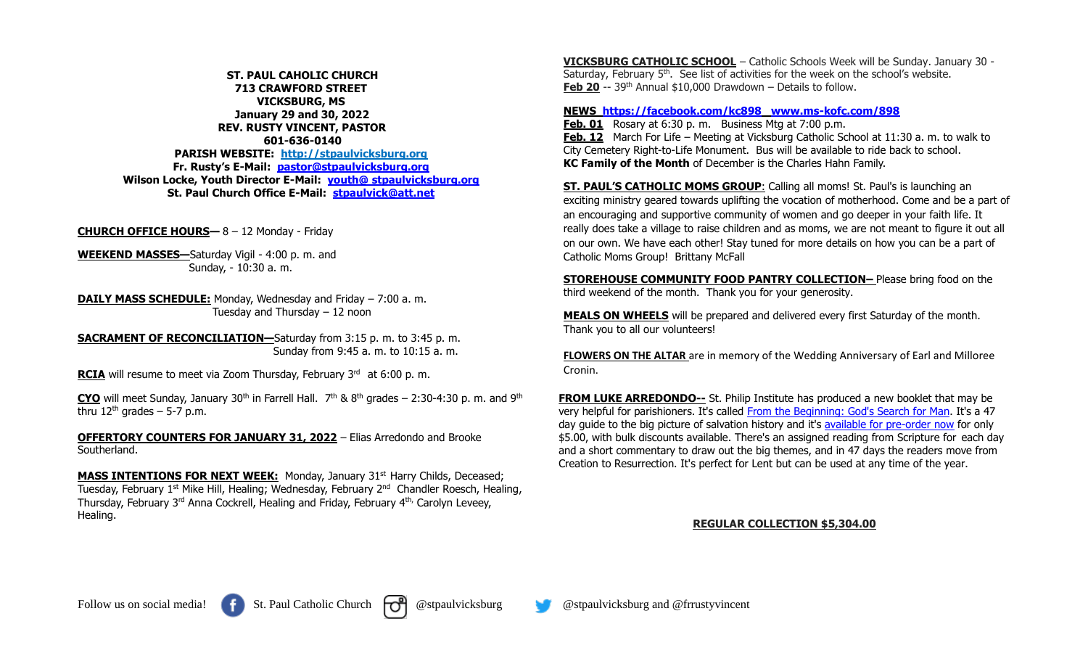**ST. PAUL CAHOLIC CHURCH 713 CRAWFORD STREET VICKSBURG, MS January 29 and 30, 2022 REV. RUSTY VINCENT, PASTOR 601-636-0140 PARISH WEBSITE: http://stpaulvicksburg.org Fr. Rusty's E-Mail: [pastor@stpaulvicksburg.org](mailto:pastor@stpaulvicksburg.org) Wilson Locke, Youth Director E-Mail: youth@ [stpaulvicksburg.org](mailto:youth@stpaulvicksburg.org) St. Paul Church Office E-Mail: [stpaulvick@att.net](mailto:stpaulvick@att.net)**

**CHURCH OFFICE HOURS—** 8 – 12 Monday - Friday

**WEEKEND MASSES—**Saturday Vigil - 4:00 p. m. and Sunday, - 10:30 a. m.

**DAILY MASS SCHEDULE:** Monday, Wednesday and Friday – 7:00 a. m. Tuesday and Thursday – 12 noon

**SACRAMENT OF RECONCILIATION—**Saturday from 3:15 p. m. to 3:45 p. m. Sunday from 9:45 a. m. to 10:15 a. m.

**RCIA** will resume to meet via Zoom Thursday, February 3<sup>rd</sup> at 6:00 p.m.

**CYO** will meet Sunday, January 30<sup>th</sup> in Farrell Hall.  $7<sup>th</sup>$  & 8<sup>th</sup> grades – 2:30-4:30 p. m. and 9<sup>th</sup> thru  $12<sup>th</sup>$  grades – 5-7 p.m.

**OFFERTORY COUNTERS FOR JANUARY 31, 2022** – Elias Arredondo and Brooke Southerland.

**MASS INTENTIONS FOR NEXT WEEK:** Monday, January 31<sup>st</sup> Harry Childs, Deceased; Tuesday, February 1<sup>st</sup> Mike Hill, Healing; Wednesday, February 2<sup>nd</sup> Chandler Roesch, Healing, Thursday, February 3<sup>rd</sup> Anna Cockrell, Healing and Friday, February 4<sup>th,</sup> Carolyn Leveey, Healing.

**VICKSBURG CATHOLIC SCHOOL** – Catholic Schools Week will be Sunday. January 30 - Saturday, February 5<sup>th</sup>. See list of activities for the week on the school's website. **Feb 20** -- 39<sup>th</sup> Annual \$10,000 Drawdown – Details to follow.

## **NEWS <https://facebook.com/kc898> [www.ms-kofc.com/898](http://www.ms-kofc.com/898)**

**Feb. 01** Rosary at 6:30 p. m. Business Mtg at 7:00 p.m. **Feb. 12** March For Life – Meeting at Vicksburg Catholic School at 11:30 a. m. to walk to City Cemetery Right-to-Life Monument. Bus will be available to ride back to school. **KC Family of the Month** of December is the Charles Hahn Family.

**ST. PAUL'S CATHOLIC MOMS GROUP**: Calling all moms! St. Paul's is launching an exciting ministry geared towards uplifting the vocation of motherhood. Come and be a part of an encouraging and supportive community of women and go deeper in your faith life. It really does take a village to raise children and as moms, we are not meant to figure it out all on our own. We have each other! Stay tuned for more details on how you can be a part of Catholic Moms Group! Brittany McFall

**STOREHOUSE COMMUNITY FOOD PANTRY COLLECTION–** Please bring food on the third weekend of the month. Thank you for your generosity.

**MEALS ON WHEELS** will be prepared and delivered every first Saturday of the month. Thank you to all our volunteers!

**FLOWERS ON THE ALTAR** are in memory of the Wedding Anniversary of Earl and Milloree Cronin.

**FROM LUKE ARREDONDO--** St. Philip Institute has produced a new booklet that may be very helpful for parishioners. It's called [From the Beginning: God's Search for Man.](https://stphilipinstitute.org/from-the-beginning) It's a 47 day guide to the big picture of salvation history and it's [available for pre-order now](https://stphilipinstitute.square.site/product/pre-order-from-the-beginning-god-s-search-for-man/157?cp=true&sa=false&sbp=false&q=false&category_id=3) for only \$5.00, with bulk discounts available. There's an assigned reading from Scripture for each day and a short commentary to draw out the big themes, and in 47 days the readers move from Creation to Resurrection. It's perfect for Lent but can be used at any time of the year.

## **REGULAR COLLECTION \$5,304.00**